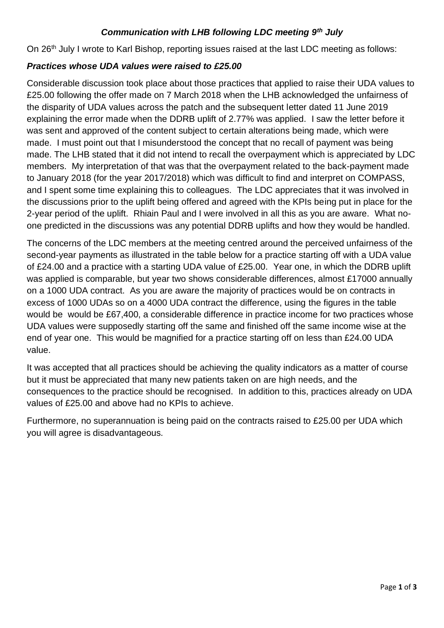## *Communication with LHB following LDC meeting 9th July*

On 26<sup>th</sup> July I wrote to Karl Bishop, reporting issues raised at the last LDC meeting as follows:

## *Practices whose UDA values were raised to £25.00*

Considerable discussion took place about those practices that applied to raise their UDA values to £25.00 following the offer made on 7 March 2018 when the LHB acknowledged the unfairness of the disparity of UDA values across the patch and the subsequent letter dated 11 June 2019 explaining the error made when the DDRB uplift of 2.77% was applied. I saw the letter before it was sent and approved of the content subject to certain alterations being made, which were made. I must point out that I misunderstood the concept that no recall of payment was being made. The LHB stated that it did not intend to recall the overpayment which is appreciated by LDC members. My interpretation of that was that the overpayment related to the back-payment made to January 2018 (for the year 2017/2018) which was difficult to find and interpret on COMPASS, and I spent some time explaining this to colleagues. The LDC appreciates that it was involved in the discussions prior to the uplift being offered and agreed with the KPIs being put in place for the 2-year period of the uplift. Rhiain Paul and I were involved in all this as you are aware. What noone predicted in the discussions was any potential DDRB uplifts and how they would be handled.

The concerns of the LDC members at the meeting centred around the perceived unfairness of the second-year payments as illustrated in the table below for a practice starting off with a UDA value of £24.00 and a practice with a starting UDA value of £25.00. Year one, in which the DDRB uplift was applied is comparable, but year two shows considerable differences, almost £17000 annually on a 1000 UDA contract. As you are aware the majority of practices would be on contracts in excess of 1000 UDAs so on a 4000 UDA contract the difference, using the figures in the table would be would be £67,400, a considerable difference in practice income for two practices whose UDA values were supposedly starting off the same and finished off the same income wise at the end of year one. This would be magnified for a practice starting off on less than £24.00 UDA value.

It was accepted that all practices should be achieving the quality indicators as a matter of course but it must be appreciated that many new patients taken on are high needs, and the consequences to the practice should be recognised. In addition to this, practices already on UDA values of £25.00 and above had no KPIs to achieve.

Furthermore, no superannuation is being paid on the contracts raised to £25.00 per UDA which you will agree is disadvantageous.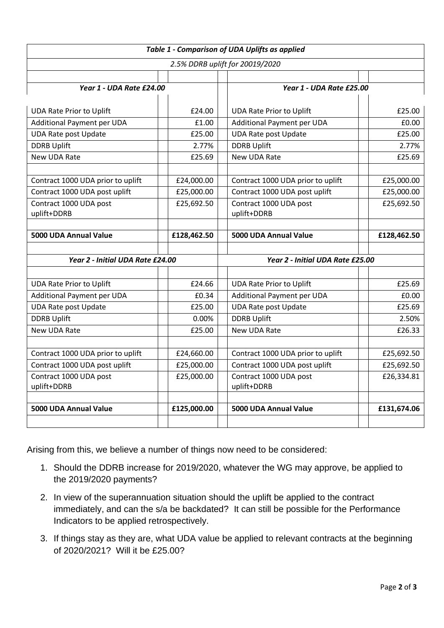| Table 1 - Comparison of UDA Uplifts as applied |             |                                   |             |
|------------------------------------------------|-------------|-----------------------------------|-------------|
| 2.5% DDRB uplift for 20019/2020                |             |                                   |             |
|                                                |             |                                   |             |
| Year 1 - UDA Rate £24.00                       |             | Year 1 - UDA Rate £25.00          |             |
|                                                |             |                                   |             |
| <b>UDA Rate Prior to Uplift</b>                | £24.00      | <b>UDA Rate Prior to Uplift</b>   | £25.00      |
| Additional Payment per UDA                     | £1.00       | Additional Payment per UDA        | £0.00       |
| <b>UDA Rate post Update</b>                    | £25.00      | <b>UDA Rate post Update</b>       | £25.00      |
| <b>DDRB Uplift</b>                             | 2.77%       | <b>DDRB Uplift</b>                | 2.77%       |
| New UDA Rate                                   | £25.69      | New UDA Rate                      | £25.69      |
|                                                |             |                                   |             |
| Contract 1000 UDA prior to uplift              | £24,000.00  | Contract 1000 UDA prior to uplift | £25,000.00  |
| Contract 1000 UDA post uplift                  | £25,000.00  | Contract 1000 UDA post uplift     | £25,000.00  |
| Contract 1000 UDA post                         | £25,692.50  | Contract 1000 UDA post            | £25,692.50  |
| uplift+DDRB                                    |             | uplift+DDRB                       |             |
|                                                |             |                                   |             |
| 5000 UDA Annual Value                          | £128,462.50 | 5000 UDA Annual Value             | £128,462.50 |
|                                                |             |                                   |             |
| Year 2 - Initial UDA Rate £24.00               |             | Year 2 - Initial UDA Rate £25.00  |             |
|                                                |             |                                   |             |
| <b>UDA Rate Prior to Uplift</b>                | £24.66      | <b>UDA Rate Prior to Uplift</b>   | £25.69      |
| Additional Payment per UDA                     | £0.34       | Additional Payment per UDA        | £0.00       |
| <b>UDA Rate post Update</b>                    | £25.00      | <b>UDA Rate post Update</b>       | £25.69      |
| <b>DDRB Uplift</b>                             | 0.00%       | <b>DDRB Uplift</b>                | 2.50%       |
| New UDA Rate                                   | £25.00      | New UDA Rate                      | £26.33      |
|                                                |             |                                   |             |
| Contract 1000 UDA prior to uplift              | £24,660.00  | Contract 1000 UDA prior to uplift | £25,692.50  |
| Contract 1000 UDA post uplift                  | £25,000.00  | Contract 1000 UDA post uplift     | £25,692.50  |
| Contract 1000 UDA post                         | £25,000.00  | Contract 1000 UDA post            | £26,334.81  |
| uplift+DDRB                                    |             | uplift+DDRB                       |             |
|                                                |             |                                   |             |
| 5000 UDA Annual Value                          | £125,000.00 | 5000 UDA Annual Value             | £131,674.06 |
|                                                |             |                                   |             |

Arising from this, we believe a number of things now need to be considered:

- 1. Should the DDRB increase for 2019/2020, whatever the WG may approve, be applied to the 2019/2020 payments?
- 2. In view of the superannuation situation should the uplift be applied to the contract immediately, and can the s/a be backdated? It can still be possible for the Performance Indicators to be applied retrospectively.
- 3. If things stay as they are, what UDA value be applied to relevant contracts at the beginning of 2020/2021? Will it be £25.00?